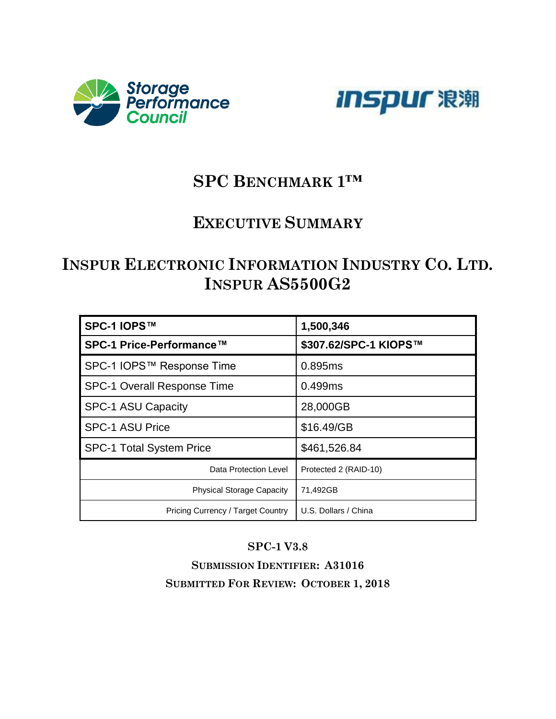



# **SPC BENCHMARK 1™**

# **EXECUTIVE SUMMARY**

# **INSPUR ELECTRONIC INFORMATION INDUSTRY CO. LTD. INSPUR AS5500G2**

| SPC-1 IOPS™                        | 1,500,346             |
|------------------------------------|-----------------------|
| SPC-1 Price-Performance™           | \$307.62/SPC-1 KIOPS™ |
| SPC-1 IOPS™ Response Time          | 0.895ms               |
| <b>SPC-1 Overall Response Time</b> | 0.499ms               |
| <b>SPC-1 ASU Capacity</b>          | 28,000GB              |
| <b>SPC-1 ASU Price</b>             | \$16.49/GB            |
| <b>SPC-1 Total System Price</b>    | \$461,526.84          |
| Data Protection Level              | Protected 2 (RAID-10) |
| <b>Physical Storage Capacity</b>   | 71,492GB              |
| Pricing Currency / Target Country  | U.S. Dollars / China  |

#### **SPC-1 V3.8**

**SUBMISSION IDENTIFIER: A31016 SUBMITTED FOR REVIEW: OCTOBER 1, 2018**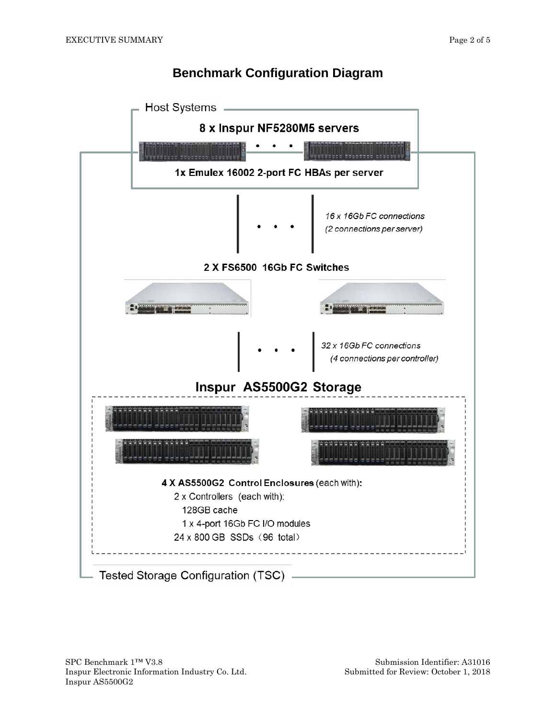### **Benchmark Configuration Diagram**

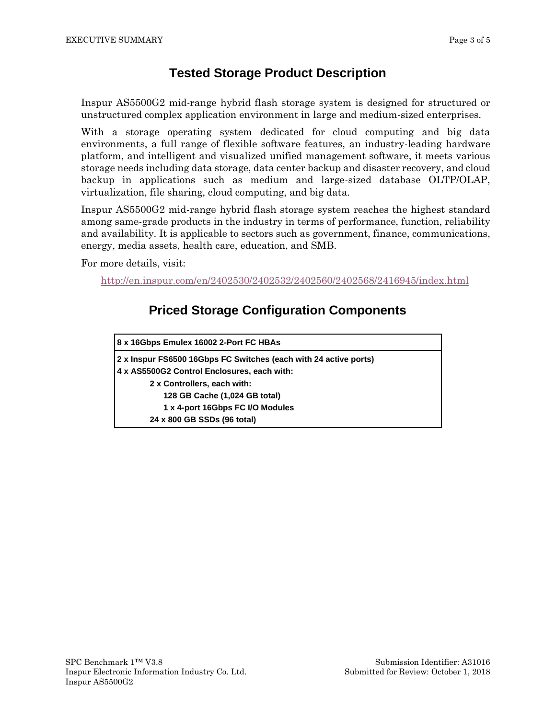#### **Tested Storage Product Description**

Inspur AS5500G2 mid-range hybrid flash storage system is designed for structured or unstructured complex application environment in large and medium-sized enterprises.

With a storage operating system dedicated for cloud computing and big data environments, a full range of flexible software features, an industry-leading hardware platform, and intelligent and visualized unified management software, it meets various storage needs including data storage, data center backup and disaster recovery, and cloud backup in applications such as medium and large-sized database OLTP/OLAP, virtualization, file sharing, cloud computing, and big data.

Inspur AS5500G2 mid-range hybrid flash storage system reaches the highest standard among same-grade products in the industry in terms of performance, function, reliability and availability. It is applicable to sectors such as government, finance, communications, energy, media assets, health care, education, and SMB.

For more details, visit:

<http://en.inspur.com/en/2402530/2402532/2402560/2402568/2416945/index.html>

### **Priced Storage Configuration Components**

| 8 x 16Gbps Emulex 16002 2-Port FC HBAs                           |  |  |
|------------------------------------------------------------------|--|--|
| 2 x Inspur FS6500 16Gbps FC Switches (each with 24 active ports) |  |  |
| 4 x AS5500G2 Control Enclosures, each with:                      |  |  |
| 2 x Controllers, each with:                                      |  |  |
| 128 GB Cache (1,024 GB total)                                    |  |  |
| 1 x 4-port 16Gbps FC I/O Modules                                 |  |  |
| 24 x 800 GB SSDs (96 total)                                      |  |  |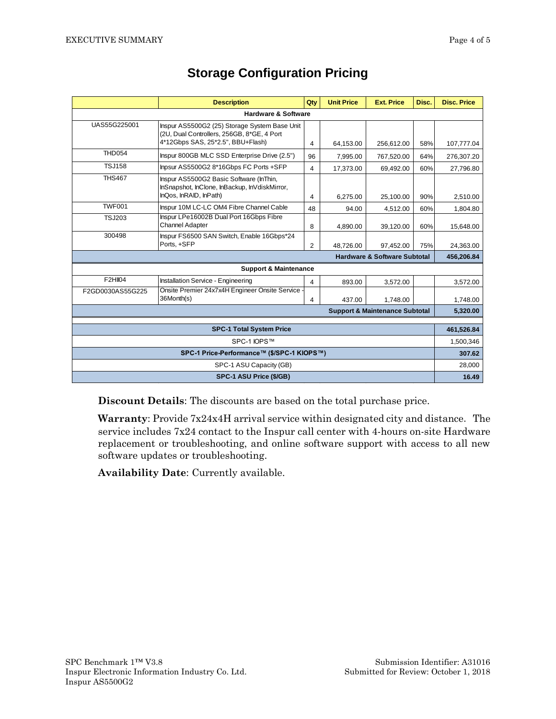|                                                                                                                                     | <b>Description</b>                                                                                                               | Qty            | <b>Unit Price</b> | <b>Ext. Price</b> | Disc.      | <b>Disc. Price</b> |
|-------------------------------------------------------------------------------------------------------------------------------------|----------------------------------------------------------------------------------------------------------------------------------|----------------|-------------------|-------------------|------------|--------------------|
| <b>Hardware &amp; Software</b>                                                                                                      |                                                                                                                                  |                |                   |                   |            |                    |
| UAS55G225001                                                                                                                        | Inspur AS5500G2 (25) Storage System Base Unit<br>(2U, Dual Controllers, 256GB, 8*GE, 4 Port<br>4*12Gbps SAS, 25*2.5", BBU+Flash) | $\overline{4}$ | 64,153.00         | 256,612.00        | 58%        | 107,777.04         |
| <b>THD054</b>                                                                                                                       | Inspur 800GB MLC SSD Enterprise Drive (2.5")                                                                                     | 96             | 7,995.00          | 767,520.00        | 64%        | 276,307.20         |
| <b>TSJ158</b>                                                                                                                       | Inpsur AS5500G2 8*16Gbps FC Ports +SFP                                                                                           | 4              | 17,373.00         | 69.492.00         | 60%        | 27.796.80          |
| <b>THS467</b><br>Inspur AS5500G2 Basic Software (InThin,<br>InSnapshot, InClone, InBackup, InVdiskMirror,<br>InQos. InRAID. InPath) |                                                                                                                                  | 4              | 6,275.00          | 25,100.00         | 90%        | 2,510.00           |
| <b>TWF001</b>                                                                                                                       | Inspur 10M LC-LC OM4 Fibre Channel Cable                                                                                         | 48             | 94.00             | 4,512.00          | 60%        | 1,804.80           |
| <b>TSJ203</b>                                                                                                                       | Inspur LPe16002B Dual Port 16Gbps Fibre<br><b>Channel Adapter</b>                                                                | 8              | 4,890.00          | 39,120.00         | 60%        | 15,648.00          |
| 300498                                                                                                                              | Inspur FS6500 SAN Switch, Enable 16Gbps*24<br>Ports, +SFP                                                                        | $\overline{2}$ | 48,726.00         | 97,452.00         | 75%        | 24,363.00          |
| <b>Hardware &amp; Software Subtotal</b>                                                                                             |                                                                                                                                  |                |                   |                   |            | 456.206.84         |
| <b>Support &amp; Maintenance</b>                                                                                                    |                                                                                                                                  |                |                   |                   |            |                    |
| <b>F2HI04</b>                                                                                                                       | Installation Service - Engineering                                                                                               | $\overline{4}$ | 893.00            | 3,572.00          |            | 3,572.00           |
| F2GD0030AS55G225                                                                                                                    | Onsite Premier 24x7x4H Engineer Onsite Service<br>36Month(s)                                                                     | 4              | 437.00            | 1,748.00          |            | 1,748.00           |
| <b>Support &amp; Maintenance Subtotal</b>                                                                                           |                                                                                                                                  |                |                   |                   | 5,320.00   |                    |
| <b>SPC-1 Total System Price</b>                                                                                                     |                                                                                                                                  |                |                   |                   | 461,526.84 |                    |
| SPC-1 IOPS™                                                                                                                         |                                                                                                                                  |                |                   |                   | 1,500,346  |                    |
| SPC-1 Price-Performance™ (\$/SPC-1 KIOPS™)                                                                                          |                                                                                                                                  |                |                   |                   | 307.62     |                    |
| SPC-1 ASU Capacity (GB)                                                                                                             |                                                                                                                                  |                | 28,000            |                   |            |                    |
| SPC-1 ASU Price (\$/GB)                                                                                                             |                                                                                                                                  |                |                   | 16.49             |            |                    |

### **Storage Configuration Pricing**

**Discount Details**: The discounts are based on the total purchase price.

**Warranty**: Provide 7x24x4H arrival service within designated city and distance. The service includes 7x24 contact to the Inspur call center with 4-hours on-site Hardware replacement or troubleshooting, and online software support with access to all new software updates or troubleshooting.

**Availability Date**: Currently available.